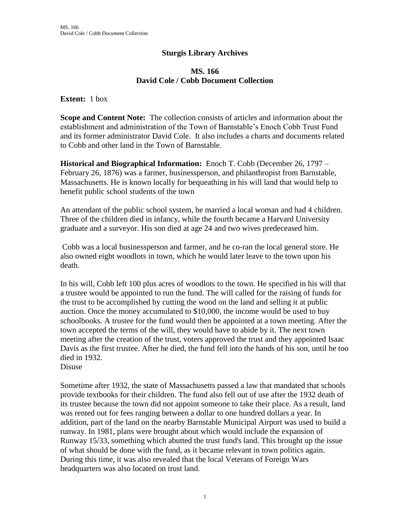## **Sturgis Library Archives**

## **MS. 166 David Cole / Cobb Document Collection**

## **Extent:** 1 box

**Scope and Content Note:** The collection consists of articles and information about the establishment and administration of the Town of Barnstable's Enoch Cobb Trust Fund and its former administrator David Cole. It also includes a charts and documents related to Cobb and other land in the Town of Barnstable.

**Historical and Biographical Information:** Enoch T. Cobb (December 26, 1797 – February 26, 1876) was a farmer, businessperson, and philanthropist from Barnstable, Massachusetts. He is known locally for bequeathing in his will land that would help to benefit public school students of the town

An attendant of the public school system, he married a local woman and had 4 children. Three of the children died in infancy, while the fourth became a Harvard University graduate and a surveyor. His son died at age 24 and two wives predeceased him.

Cobb was a local businessperson and farmer, and he co-ran the local general store. He also owned eight woodlots in town, which he would later leave to the town upon his death.

In his will, Cobb left 100 plus acres of woodlots to the town. He specified in his will that a trustee would be appointed to run the fund. The will called for the raising of funds for the trust to be accomplished by cutting the wood on the land and selling it at public auction. Once the money accumulated to \$10,000, the income would be used to buy schoolbooks. A trustee for the fund would then be appointed at a town meeting. After the town accepted the terms of the will, they would have to abide by it. The next town meeting after the creation of the trust, voters approved the trust and they appointed Isaac Davis as the first trustee. After he died, the fund fell into the hands of his son, until he too died in 1932.

Disuse

Sometime after 1932, the state of Massachusetts passed a law that mandated that schools provide textbooks for their children. The fund also fell out of use after the 1932 death of its trustee because the town did not appoint someone to take their place. As a result, land was rented out for fees ranging between a dollar to one hundred dollars a year. In addition, part of the land on the nearby Barnstable Municipal Airport was used to build a runway. In 1981, plans were brought about which would include the expansion of Runway 15/33, something which abutted the trust fund's land. This brought up the issue of what should be done with the fund, as it became relevant in town politics again. During this time, it was also revealed that the local Veterans of Foreign Wars headquarters was also located on trust land.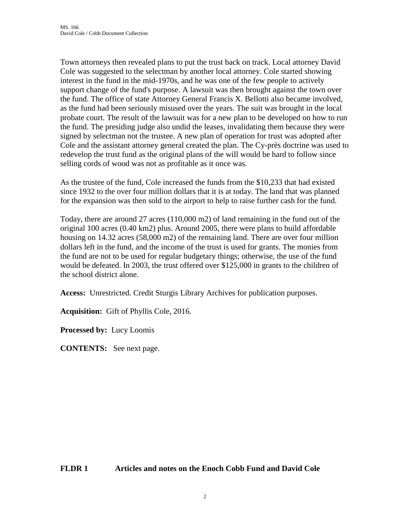Town attorneys then revealed plans to put the trust back on track. Local attorney David Cole was suggested to the selectman by another local attorney. Cole started showing interest in the fund in the mid-1970s, and he was one of the few people to actively support change of the fund's purpose. A lawsuit was then brought against the town over the fund. The office of state Attorney General Francis X. Bellotti also became involved, as the fund had been seriously misused over the years. The suit was brought in the local probate court. The result of the lawsuit was for a new plan to be developed on how to run the fund. The presiding judge also undid the leases, invalidating them because they were signed by selectman not the trustee. A new plan of operation for trust was adopted after Cole and the assistant attorney general created the plan. The Cy-près doctrine was used to redevelop the trust fund as the original plans of the will would be hard to follow since selling cords of wood was not as profitable as it once was.

As the trustee of the fund, Cole increased the funds from the \$10,233 that had existed since 1932 to the over four million dollars that it is at today. The land that was planned for the expansion was then sold to the airport to help to raise further cash for the fund.

Today, there are around 27 acres (110,000 m2) of land remaining in the fund out of the original 100 acres (0.40 km2) plus. Around 2005, there were plans to build affordable housing on 14.32 acres (58,000 m2) of the remaining land. There are over four million dollars left in the fund, and the income of the trust is used for grants. The monies from the fund are not to be used for regular budgetary things; otherwise, the use of the fund would be defeated. In 2003, the trust offered over \$125,000 in grants to the children of the school district alone.

**Access:** Unrestricted. Credit Sturgis Library Archives for publication purposes.

**Acquisition:** Gift of Phyllis Cole, 2016.

**Processed by:** Lucy Loomis

**CONTENTS:** See next page.